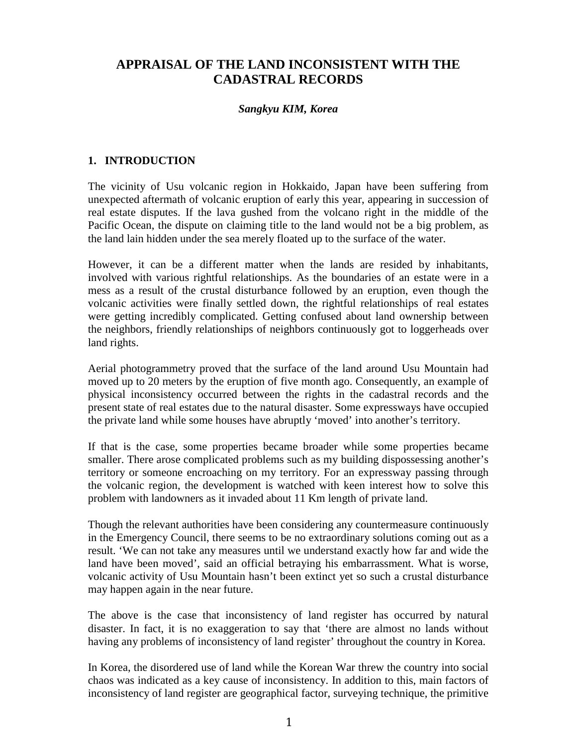# **APPRAISAL OF THE LAND INCONSISTENT WITH THE CADASTRAL RECORDS**

### *Sangkyu KIM, Korea*

### **1. INTRODUCTION**

The vicinity of Usu volcanic region in Hokkaido, Japan have been suffering from unexpected aftermath of volcanic eruption of early this year, appearing in succession of real estate disputes. If the lava gushed from the volcano right in the middle of the Pacific Ocean, the dispute on claiming title to the land would not be a big problem, as the land lain hidden under the sea merely floated up to the surface of the water.

However, it can be a different matter when the lands are resided by inhabitants, involved with various rightful relationships. As the boundaries of an estate were in a mess as a result of the crustal disturbance followed by an eruption, even though the volcanic activities were finally settled down, the rightful relationships of real estates were getting incredibly complicated. Getting confused about land ownership between the neighbors, friendly relationships of neighbors continuously got to loggerheads over land rights.

Aerial photogrammetry proved that the surface of the land around Usu Mountain had moved up to 20 meters by the eruption of five month ago. Consequently, an example of physical inconsistency occurred between the rights in the cadastral records and the present state of real estates due to the natural disaster. Some expressways have occupied the private land while some houses have abruptly 'moved' into another's territory.

If that is the case, some properties became broader while some properties became smaller. There arose complicated problems such as my building dispossessing another's territory or someone encroaching on my territory. For an expressway passing through the volcanic region, the development is watched with keen interest how to solve this problem with landowners as it invaded about 11 Km length of private land.

Though the relevant authorities have been considering any countermeasure continuously in the Emergency Council, there seems to be no extraordinary solutions coming out as a result. 'We can not take any measures until we understand exactly how far and wide the land have been moved', said an official betraying his embarrassment. What is worse, volcanic activity of Usu Mountain hasn't been extinct yet so such a crustal disturbance may happen again in the near future.

The above is the case that inconsistency of land register has occurred by natural disaster. In fact, it is no exaggeration to say that 'there are almost no lands without having any problems of inconsistency of land register' throughout the country in Korea.

In Korea, the disordered use of land while the Korean War threw the country into social chaos was indicated as a key cause of inconsistency. In addition to this, main factors of inconsistency of land register are geographical factor, surveying technique, the primitive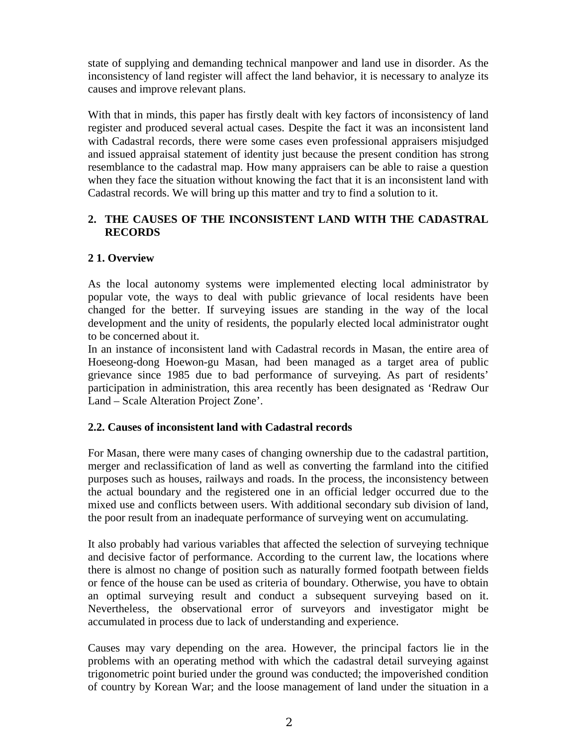state of supplying and demanding technical manpower and land use in disorder. As the inconsistency of land register will affect the land behavior, it is necessary to analyze its causes and improve relevant plans.

With that in minds, this paper has firstly dealt with key factors of inconsistency of land register and produced several actual cases. Despite the fact it was an inconsistent land with Cadastral records, there were some cases even professional appraisers misjudged and issued appraisal statement of identity just because the present condition has strong resemblance to the cadastral map. How many appraisers can be able to raise a question when they face the situation without knowing the fact that it is an inconsistent land with Cadastral records. We will bring up this matter and try to find a solution to it.

# **2. THE CAUSES OF THE INCONSISTENT LAND WITH THE CADASTRAL RECORDS**

# **2 1. Overview**

As the local autonomy systems were implemented electing local administrator by popular vote, the ways to deal with public grievance of local residents have been changed for the better. If surveying issues are standing in the way of the local development and the unity of residents, the popularly elected local administrator ought to be concerned about it.

In an instance of inconsistent land with Cadastral records in Masan, the entire area of Hoeseong-dong Hoewon-gu Masan, had been managed as a target area of public grievance since 1985 due to bad performance of surveying. As part of residents' participation in administration, this area recently has been designated as 'Redraw Our Land – Scale Alteration Project Zone'.

# **2.2. Causes of inconsistent land with Cadastral records**

For Masan, there were many cases of changing ownership due to the cadastral partition, merger and reclassification of land as well as converting the farmland into the citified purposes such as houses, railways and roads. In the process, the inconsistency between the actual boundary and the registered one in an official ledger occurred due to the mixed use and conflicts between users. With additional secondary sub division of land, the poor result from an inadequate performance of surveying went on accumulating.

It also probably had various variables that affected the selection of surveying technique and decisive factor of performance. According to the current law, the locations where there is almost no change of position such as naturally formed footpath between fields or fence of the house can be used as criteria of boundary. Otherwise, you have to obtain an optimal surveying result and conduct a subsequent surveying based on it. Nevertheless, the observational error of surveyors and investigator might be accumulated in process due to lack of understanding and experience.

Causes may vary depending on the area. However, the principal factors lie in the problems with an operating method with which the cadastral detail surveying against trigonometric point buried under the ground was conducted; the impoverished condition of country by Korean War; and the loose management of land under the situation in a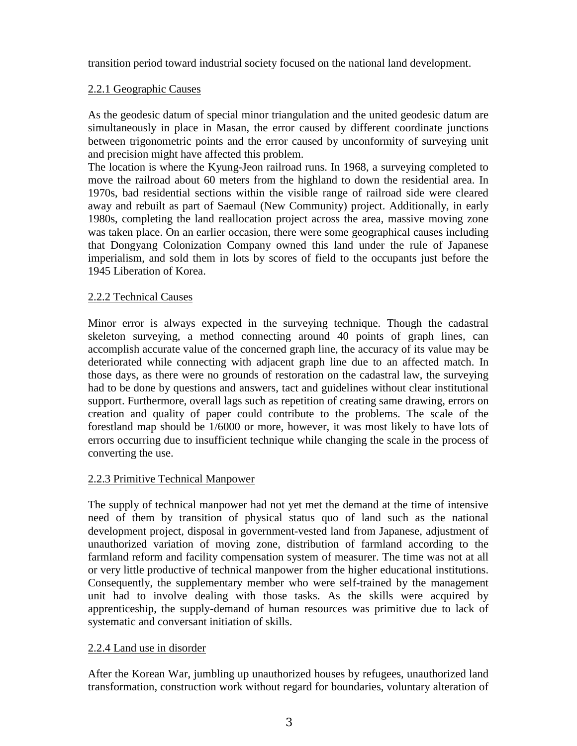transition period toward industrial society focused on the national land development.

### 2.2.1 Geographic Causes

As the geodesic datum of special minor triangulation and the united geodesic datum are simultaneously in place in Masan, the error caused by different coordinate junctions between trigonometric points and the error caused by unconformity of surveying unit and precision might have affected this problem.

The location is where the Kyung-Jeon railroad runs. In 1968, a surveying completed to move the railroad about 60 meters from the highland to down the residential area. In 1970s, bad residential sections within the visible range of railroad side were cleared away and rebuilt as part of Saemaul (New Community) project. Additionally, in early 1980s, completing the land reallocation project across the area, massive moving zone was taken place. On an earlier occasion, there were some geographical causes including that Dongyang Colonization Company owned this land under the rule of Japanese imperialism, and sold them in lots by scores of field to the occupants just before the 1945 Liberation of Korea.

### 2.2.2 Technical Causes

Minor error is always expected in the surveying technique. Though the cadastral skeleton surveying, a method connecting around 40 points of graph lines, can accomplish accurate value of the concerned graph line, the accuracy of its value may be deteriorated while connecting with adjacent graph line due to an affected match. In those days, as there were no grounds of restoration on the cadastral law, the surveying had to be done by questions and answers, tact and guidelines without clear institutional support. Furthermore, overall lags such as repetition of creating same drawing, errors on creation and quality of paper could contribute to the problems. The scale of the forestland map should be 1/6000 or more, however, it was most likely to have lots of errors occurring due to insufficient technique while changing the scale in the process of converting the use.

# 2.2.3 Primitive Technical Manpower

The supply of technical manpower had not yet met the demand at the time of intensive need of them by transition of physical status quo of land such as the national development project, disposal in government-vested land from Japanese, adjustment of unauthorized variation of moving zone, distribution of farmland according to the farmland reform and facility compensation system of measurer. The time was not at all or very little productive of technical manpower from the higher educational institutions. Consequently, the supplementary member who were self-trained by the management unit had to involve dealing with those tasks. As the skills were acquired by apprenticeship, the supply-demand of human resources was primitive due to lack of systematic and conversant initiation of skills.

# 2.2.4 Land use in disorder

After the Korean War, jumbling up unauthorized houses by refugees, unauthorized land transformation, construction work without regard for boundaries, voluntary alteration of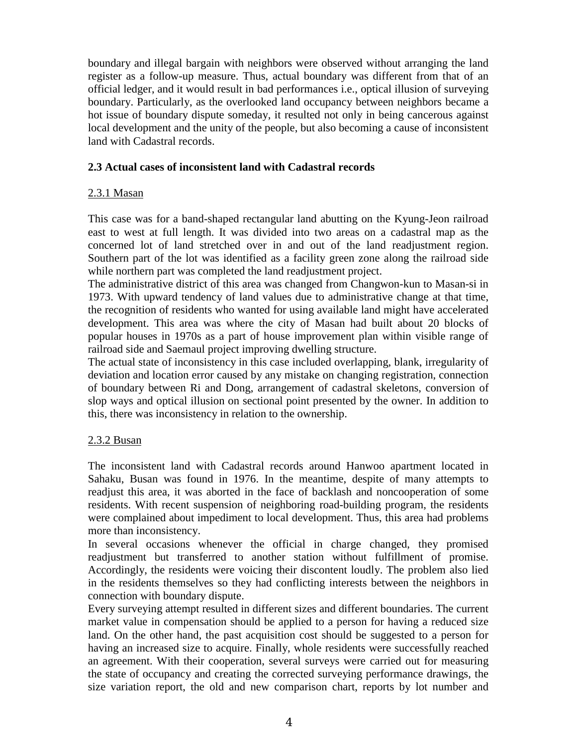boundary and illegal bargain with neighbors were observed without arranging the land register as a follow-up measure. Thus, actual boundary was different from that of an official ledger, and it would result in bad performances i.e., optical illusion of surveying boundary. Particularly, as the overlooked land occupancy between neighbors became a hot issue of boundary dispute someday, it resulted not only in being cancerous against local development and the unity of the people, but also becoming a cause of inconsistent land with Cadastral records.

#### **2.3 Actual cases of inconsistent land with Cadastral records**

### 2.3.1 Masan

This case was for a band-shaped rectangular land abutting on the Kyung-Jeon railroad east to west at full length. It was divided into two areas on a cadastral map as the concerned lot of land stretched over in and out of the land readjustment region. Southern part of the lot was identified as a facility green zone along the railroad side while northern part was completed the land readjustment project.

The administrative district of this area was changed from Changwon-kun to Masan-si in 1973. With upward tendency of land values due to administrative change at that time, the recognition of residents who wanted for using available land might have accelerated development. This area was where the city of Masan had built about 20 blocks of popular houses in 1970s as a part of house improvement plan within visible range of railroad side and Saemaul project improving dwelling structure.

The actual state of inconsistency in this case included overlapping, blank, irregularity of deviation and location error caused by any mistake on changing registration, connection of boundary between Ri and Dong, arrangement of cadastral skeletons, conversion of slop ways and optical illusion on sectional point presented by the owner. In addition to this, there was inconsistency in relation to the ownership.

# 2.3.2 Busan

The inconsistent land with Cadastral records around Hanwoo apartment located in Sahaku, Busan was found in 1976. In the meantime, despite of many attempts to readjust this area, it was aborted in the face of backlash and noncooperation of some residents. With recent suspension of neighboring road-building program, the residents were complained about impediment to local development. Thus, this area had problems more than inconsistency.

In several occasions whenever the official in charge changed, they promised readjustment but transferred to another station without fulfillment of promise. Accordingly, the residents were voicing their discontent loudly. The problem also lied in the residents themselves so they had conflicting interests between the neighbors in connection with boundary dispute.

Every surveying attempt resulted in different sizes and different boundaries. The current market value in compensation should be applied to a person for having a reduced size land. On the other hand, the past acquisition cost should be suggested to a person for having an increased size to acquire. Finally, whole residents were successfully reached an agreement. With their cooperation, several surveys were carried out for measuring the state of occupancy and creating the corrected surveying performance drawings, the size variation report, the old and new comparison chart, reports by lot number and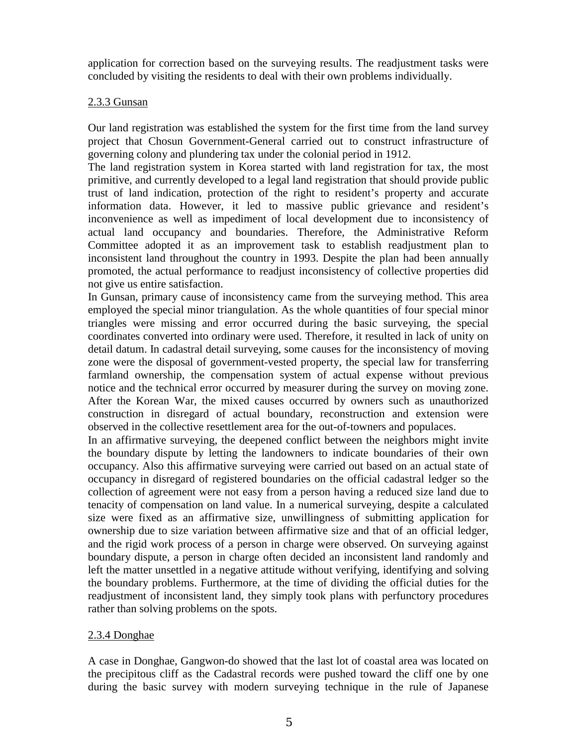application for correction based on the surveying results. The readjustment tasks were concluded by visiting the residents to deal with their own problems individually.

### 2.3.3 Gunsan

Our land registration was established the system for the first time from the land survey project that Chosun Government-General carried out to construct infrastructure of governing colony and plundering tax under the colonial period in 1912.

The land registration system in Korea started with land registration for tax, the most primitive, and currently developed to a legal land registration that should provide public trust of land indication, protection of the right to resident's property and accurate information data. However, it led to massive public grievance and resident's inconvenience as well as impediment of local development due to inconsistency of actual land occupancy and boundaries. Therefore, the Administrative Reform Committee adopted it as an improvement task to establish readjustment plan to inconsistent land throughout the country in 1993. Despite the plan had been annually promoted, the actual performance to readjust inconsistency of collective properties did not give us entire satisfaction.

In Gunsan, primary cause of inconsistency came from the surveying method. This area employed the special minor triangulation. As the whole quantities of four special minor triangles were missing and error occurred during the basic surveying, the special coordinates converted into ordinary were used. Therefore, it resulted in lack of unity on detail datum. In cadastral detail surveying, some causes for the inconsistency of moving zone were the disposal of government-vested property, the special law for transferring farmland ownership, the compensation system of actual expense without previous notice and the technical error occurred by measurer during the survey on moving zone. After the Korean War, the mixed causes occurred by owners such as unauthorized construction in disregard of actual boundary, reconstruction and extension were observed in the collective resettlement area for the out-of-towners and populaces.

In an affirmative surveying, the deepened conflict between the neighbors might invite the boundary dispute by letting the landowners to indicate boundaries of their own occupancy. Also this affirmative surveying were carried out based on an actual state of occupancy in disregard of registered boundaries on the official cadastral ledger so the collection of agreement were not easy from a person having a reduced size land due to tenacity of compensation on land value. In a numerical surveying, despite a calculated size were fixed as an affirmative size, unwillingness of submitting application for ownership due to size variation between affirmative size and that of an official ledger, and the rigid work process of a person in charge were observed. On surveying against boundary dispute, a person in charge often decided an inconsistent land randomly and left the matter unsettled in a negative attitude without verifying, identifying and solving the boundary problems. Furthermore, at the time of dividing the official duties for the readjustment of inconsistent land, they simply took plans with perfunctory procedures rather than solving problems on the spots.

# 2.3.4 Donghae

A case in Donghae, Gangwon-do showed that the last lot of coastal area was located on the precipitous cliff as the Cadastral records were pushed toward the cliff one by one during the basic survey with modern surveying technique in the rule of Japanese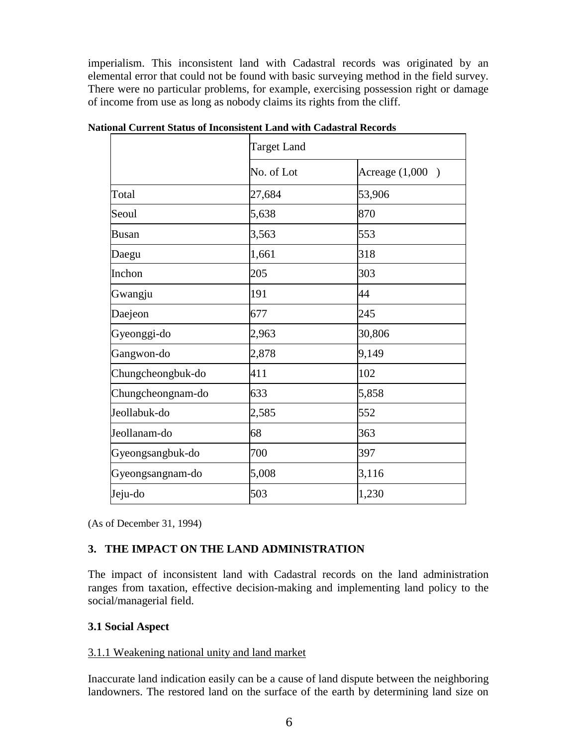imperialism. This inconsistent land with Cadastral records was originated by an elemental error that could not be found with basic surveying method in the field survey. There were no particular problems, for example, exercising possession right or damage of income from use as long as nobody claims its rights from the cliff.

|                   | <b>Target Land</b> |                   |
|-------------------|--------------------|-------------------|
|                   | No. of Lot         | Acreage $(1,000)$ |
| Total             | 27,684             | 53,906            |
| Seoul             | 5,638              | 870               |
| Busan             | 3,563              | 553               |
| Daegu             | 1,661              | 318               |
| Inchon            | 205                | 303               |
| Gwangju           | 191                | 44                |
| Daejeon           | 677                | 245               |
| Gyeonggi-do       | 2,963              | 30,806            |
| Gangwon-do        | 2,878              | 9,149             |
| Chungcheongbuk-do | 411                | 102               |
| Chungcheongnam-do | 633                | 5,858             |
| Jeollabuk-do      | 2,585              | 552               |
| Jeollanam-do      | 68                 | 363               |
| Gyeongsangbuk-do  | 700                | 397               |
| Gyeongsangnam-do  | 5,008              | 3,116             |
| Jeju-do           | 503                | 1,230             |

**National Current Status of Inconsistent Land with Cadastral Records**

(As of December 31, 1994)

# **3. THE IMPACT ON THE LAND ADMINISTRATION**

The impact of inconsistent land with Cadastral records on the land administration ranges from taxation, effective decision-making and implementing land policy to the social/managerial field.

# **3.1 Social Aspect**

#### 3.1.1 Weakening national unity and land market

Inaccurate land indication easily can be a cause of land dispute between the neighboring landowners. The restored land on the surface of the earth by determining land size on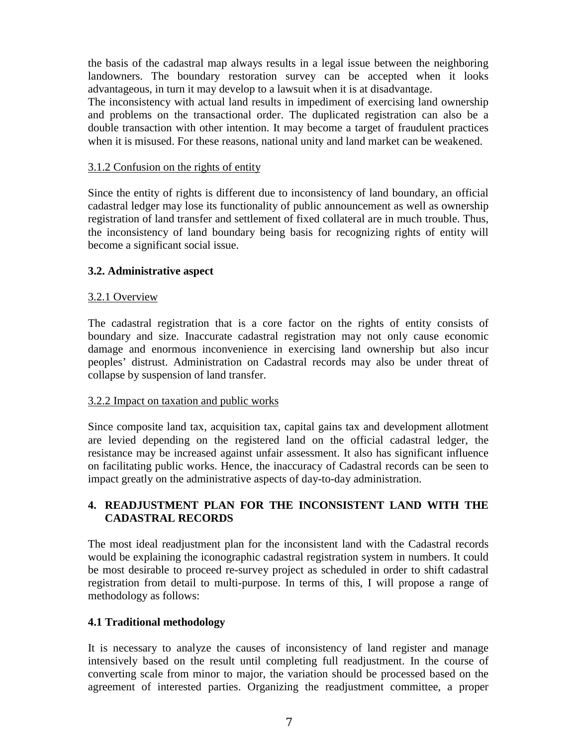the basis of the cadastral map always results in a legal issue between the neighboring landowners. The boundary restoration survey can be accepted when it looks advantageous, in turn it may develop to a lawsuit when it is at disadvantage.

The inconsistency with actual land results in impediment of exercising land ownership and problems on the transactional order. The duplicated registration can also be a double transaction with other intention. It may become a target of fraudulent practices when it is misused. For these reasons, national unity and land market can be weakened.

### 3.1.2 Confusion on the rights of entity

Since the entity of rights is different due to inconsistency of land boundary, an official cadastral ledger may lose its functionality of public announcement as well as ownership registration of land transfer and settlement of fixed collateral are in much trouble. Thus, the inconsistency of land boundary being basis for recognizing rights of entity will become a significant social issue.

### **3.2. Administrative aspect**

### 3.2.1 Overview

The cadastral registration that is a core factor on the rights of entity consists of boundary and size. Inaccurate cadastral registration may not only cause economic damage and enormous inconvenience in exercising land ownership but also incur peoples' distrust. Administration on Cadastral records may also be under threat of collapse by suspension of land transfer.

#### 3.2.2 Impact on taxation and public works

Since composite land tax, acquisition tax, capital gains tax and development allotment are levied depending on the registered land on the official cadastral ledger, the resistance may be increased against unfair assessment. It also has significant influence on facilitating public works. Hence, the inaccuracy of Cadastral records can be seen to impact greatly on the administrative aspects of day-to-day administration.

# **4. READJUSTMENT PLAN FOR THE INCONSISTENT LAND WITH THE CADASTRAL RECORDS**

The most ideal readjustment plan for the inconsistent land with the Cadastral records would be explaining the iconographic cadastral registration system in numbers. It could be most desirable to proceed re-survey project as scheduled in order to shift cadastral registration from detail to multi-purpose. In terms of this, I will propose a range of methodology as follows:

#### **4.1 Traditional methodology**

It is necessary to analyze the causes of inconsistency of land register and manage intensively based on the result until completing full readjustment. In the course of converting scale from minor to major, the variation should be processed based on the agreement of interested parties. Organizing the readjustment committee, a proper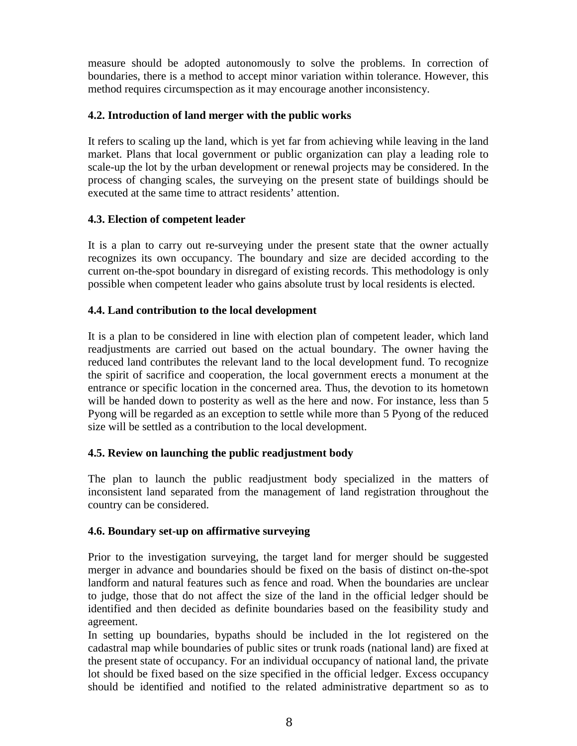measure should be adopted autonomously to solve the problems. In correction of boundaries, there is a method to accept minor variation within tolerance. However, this method requires circumspection as it may encourage another inconsistency.

### **4.2. Introduction of land merger with the public works**

It refers to scaling up the land, which is yet far from achieving while leaving in the land market. Plans that local government or public organization can play a leading role to scale-up the lot by the urban development or renewal projects may be considered. In the process of changing scales, the surveying on the present state of buildings should be executed at the same time to attract residents' attention.

### **4.3. Election of competent leader**

It is a plan to carry out re-surveying under the present state that the owner actually recognizes its own occupancy. The boundary and size are decided according to the current on-the-spot boundary in disregard of existing records. This methodology is only possible when competent leader who gains absolute trust by local residents is elected.

### **4.4. Land contribution to the local development**

It is a plan to be considered in line with election plan of competent leader, which land readjustments are carried out based on the actual boundary. The owner having the reduced land contributes the relevant land to the local development fund. To recognize the spirit of sacrifice and cooperation, the local government erects a monument at the entrance or specific location in the concerned area. Thus, the devotion to its hometown will be handed down to posterity as well as the here and now. For instance, less than 5 Pyong will be regarded as an exception to settle while more than 5 Pyong of the reduced size will be settled as a contribution to the local development.

# **4.5. Review on launching the public readjustment body**

The plan to launch the public readjustment body specialized in the matters of inconsistent land separated from the management of land registration throughout the country can be considered.

#### **4.6. Boundary set-up on affirmative surveying**

Prior to the investigation surveying, the target land for merger should be suggested merger in advance and boundaries should be fixed on the basis of distinct on-the-spot landform and natural features such as fence and road. When the boundaries are unclear to judge, those that do not affect the size of the land in the official ledger should be identified and then decided as definite boundaries based on the feasibility study and agreement.

In setting up boundaries, bypaths should be included in the lot registered on the cadastral map while boundaries of public sites or trunk roads (national land) are fixed at the present state of occupancy. For an individual occupancy of national land, the private lot should be fixed based on the size specified in the official ledger. Excess occupancy should be identified and notified to the related administrative department so as to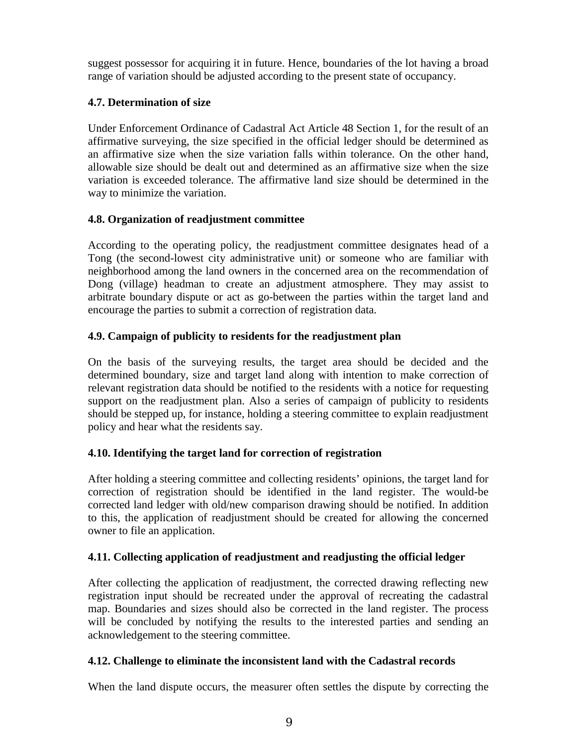suggest possessor for acquiring it in future. Hence, boundaries of the lot having a broad range of variation should be adjusted according to the present state of occupancy.

# **4.7. Determination of size**

Under Enforcement Ordinance of Cadastral Act Article 48 Section 1, for the result of an affirmative surveying, the size specified in the official ledger should be determined as an affirmative size when the size variation falls within tolerance. On the other hand, allowable size should be dealt out and determined as an affirmative size when the size variation is exceeded tolerance. The affirmative land size should be determined in the way to minimize the variation.

#### **4.8. Organization of readjustment committee**

According to the operating policy, the readjustment committee designates head of a Tong (the second-lowest city administrative unit) or someone who are familiar with neighborhood among the land owners in the concerned area on the recommendation of Dong (village) headman to create an adjustment atmosphere. They may assist to arbitrate boundary dispute or act as go-between the parties within the target land and encourage the parties to submit a correction of registration data.

### **4.9. Campaign of publicity to residents for the readjustment plan**

On the basis of the surveying results, the target area should be decided and the determined boundary, size and target land along with intention to make correction of relevant registration data should be notified to the residents with a notice for requesting support on the readjustment plan. Also a series of campaign of publicity to residents should be stepped up, for instance, holding a steering committee to explain readjustment policy and hear what the residents say.

# **4.10. Identifying the target land for correction of registration**

After holding a steering committee and collecting residents' opinions, the target land for correction of registration should be identified in the land register. The would-be corrected land ledger with old/new comparison drawing should be notified. In addition to this, the application of readjustment should be created for allowing the concerned owner to file an application.

#### **4.11. Collecting application of readjustment and readjusting the official ledger**

After collecting the application of readjustment, the corrected drawing reflecting new registration input should be recreated under the approval of recreating the cadastral map. Boundaries and sizes should also be corrected in the land register. The process will be concluded by notifying the results to the interested parties and sending an acknowledgement to the steering committee.

#### **4.12. Challenge to eliminate the inconsistent land with the Cadastral records**

When the land dispute occurs, the measurer often settles the dispute by correcting the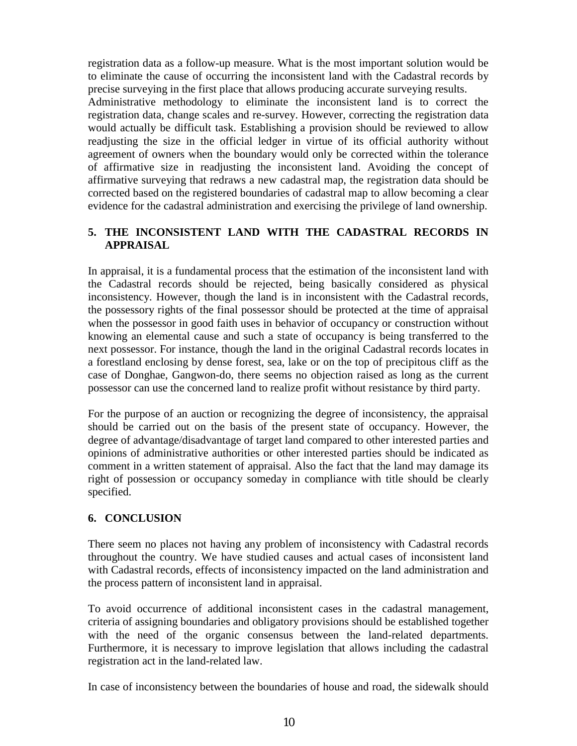registration data as a follow-up measure. What is the most important solution would be to eliminate the cause of occurring the inconsistent land with the Cadastral records by precise surveying in the first place that allows producing accurate surveying results.

Administrative methodology to eliminate the inconsistent land is to correct the registration data, change scales and re-survey. However, correcting the registration data would actually be difficult task. Establishing a provision should be reviewed to allow readjusting the size in the official ledger in virtue of its official authority without agreement of owners when the boundary would only be corrected within the tolerance of affirmative size in readjusting the inconsistent land. Avoiding the concept of affirmative surveying that redraws a new cadastral map, the registration data should be corrected based on the registered boundaries of cadastral map to allow becoming a clear evidence for the cadastral administration and exercising the privilege of land ownership.

# **5. THE INCONSISTENT LAND WITH THE CADASTRAL RECORDS IN APPRAISAL**

In appraisal, it is a fundamental process that the estimation of the inconsistent land with the Cadastral records should be rejected, being basically considered as physical inconsistency. However, though the land is in inconsistent with the Cadastral records, the possessory rights of the final possessor should be protected at the time of appraisal when the possessor in good faith uses in behavior of occupancy or construction without knowing an elemental cause and such a state of occupancy is being transferred to the next possessor. For instance, though the land in the original Cadastral records locates in a forestland enclosing by dense forest, sea, lake or on the top of precipitous cliff as the case of Donghae, Gangwon-do, there seems no objection raised as long as the current possessor can use the concerned land to realize profit without resistance by third party.

For the purpose of an auction or recognizing the degree of inconsistency, the appraisal should be carried out on the basis of the present state of occupancy. However, the degree of advantage/disadvantage of target land compared to other interested parties and opinions of administrative authorities or other interested parties should be indicated as comment in a written statement of appraisal. Also the fact that the land may damage its right of possession or occupancy someday in compliance with title should be clearly specified.

# **6. CONCLUSION**

There seem no places not having any problem of inconsistency with Cadastral records throughout the country. We have studied causes and actual cases of inconsistent land with Cadastral records, effects of inconsistency impacted on the land administration and the process pattern of inconsistent land in appraisal.

To avoid occurrence of additional inconsistent cases in the cadastral management, criteria of assigning boundaries and obligatory provisions should be established together with the need of the organic consensus between the land-related departments. Furthermore, it is necessary to improve legislation that allows including the cadastral registration act in the land-related law.

In case of inconsistency between the boundaries of house and road, the sidewalk should